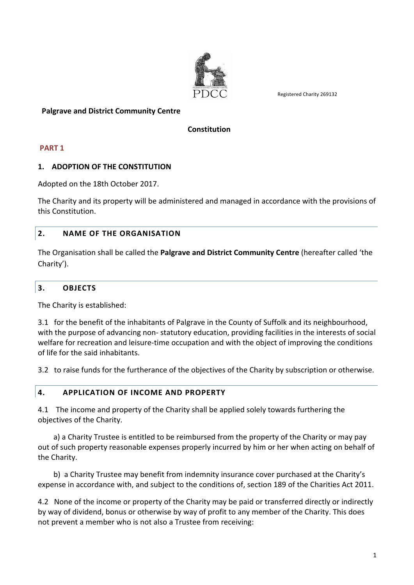

Registered Charity 269132

#### **Palgrave and District Community Centre**

#### **Constitution**

**PART 1**

#### **1. ADOPTION OF THE CONSTITUTION**

Adopted on the 18th October 2017.

The Charity and its property will be administered and managed in accordance with the provisions of this Constitution.

### **2. NAME OF THE ORGANISATION**

The Organisation shall be called the **Palgrave and District Community Centre** (hereafter called 'the Charity').

### **3. OBJECTS**

The Charity is established:

3.1 for the benefit of the inhabitants of Palgrave in the County of Suffolk and its neighbourhood, with the purpose of advancing non- statutory education, providing facilities in the interests of social welfare for recreation and leisure-time occupation and with the object of improving the conditions of life for the said inhabitants.

3.2 to raise funds for the furtherance of the objectives of the Charity by subscription or otherwise.

### **4. APPLICATION OF INCOME AND PROPERTY**

4.1 The income and property of the Charity shall be applied solely towards furthering the objectives of the Charity.

a) a Charity Trustee is entitled to be reimbursed from the property of the Charity or may pay out of such property reasonable expenses properly incurred by him or her when acting on behalf of the Charity.

b) a Charity Trustee may benefit from indemnity insurance cover purchased at the Charity's expense in accordance with, and subject to the conditions of, section 189 of the Charities Act 2011.

4.2 None of the income or property of the Charity may be paid or transferred directly or indirectly by way of dividend, bonus or otherwise by way of profit to any member of the Charity. This does not prevent a member who is not also a Trustee from receiving: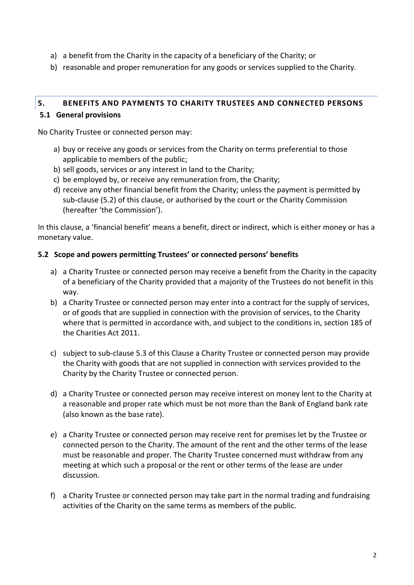- a) a benefit from the Charity in the capacity of a beneficiary of the Charity; or
- b) reasonable and proper remuneration for any goods or services supplied to the Charity.

# **5. BENEFITS AND PAYMENTS TO CHARITY TRUSTEES AND CONNECTED PERSONS**

### **5.1 General provisions**

No Charity Trustee or connected person may:

- a) buy or receive any goods or services from the Charity on terms preferential to those applicable to members of the public;
- b) sell goods, services or any interest in land to the Charity;
- c) be employed by, or receive any remuneration from, the Charity;
- d) receive any other financial benefit from the Charity; unless the payment is permitted by sub-clause (5.2) of this clause, or authorised by the court or the Charity Commission (hereafter 'the Commission').

In this clause, a 'financial benefit' means a benefit, direct or indirect, which is either money or has a monetary value.

# **5.2 Scope and powers permitting Trustees' or connected persons' benefits**

- a) a Charity Trustee or connected person may receive a benefit from the Charity in the capacity of a beneficiary of the Charity provided that a majority of the Trustees do not benefit in this way.
- b) a Charity Trustee or connected person may enter into a contract for the supply of services, or of goods that are supplied in connection with the provision of services, to the Charity where that is permitted in accordance with, and subject to the conditions in, section 185 of the Charities Act 2011.
- c) subject to sub-clause 5.3 of this Clause a Charity Trustee or connected person may provide the Charity with goods that are not supplied in connection with services provided to the Charity by the Charity Trustee or connected person.
- d) a Charity Trustee or connected person may receive interest on money lent to the Charity at a reasonable and proper rate which must be not more than the Bank of England bank rate (also known as the base rate).
- e) a Charity Trustee or connected person may receive rent for premises let by the Trustee or connected person to the Charity. The amount of the rent and the other terms of the lease must be reasonable and proper. The Charity Trustee concerned must withdraw from any meeting at which such a proposal or the rent or other terms of the lease are under discussion.
- f) a Charity Trustee or connected person may take part in the normal trading and fundraising activities of the Charity on the same terms as members of the public.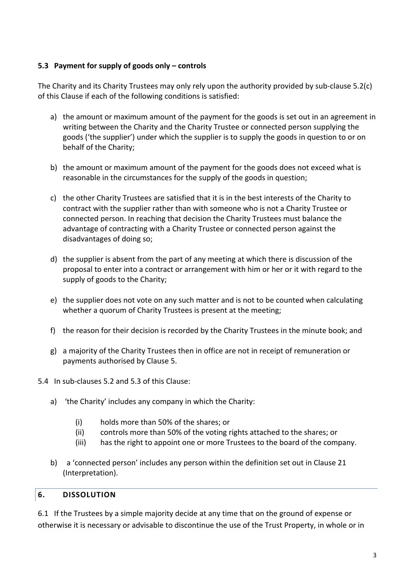# **5.3 Payment for supply of goods only – controls**

The Charity and its Charity Trustees may only rely upon the authority provided by sub-clause 5.2(c) of this Clause if each of the following conditions is satisfied:

- a) the amount or maximum amount of the payment for the goods is set out in an agreement in writing between the Charity and the Charity Trustee or connected person supplying the goods ('the supplier') under which the supplier is to supply the goods in question to or on behalf of the Charity;
- b) the amount or maximum amount of the payment for the goods does not exceed what is reasonable in the circumstances for the supply of the goods in question;
- c) the other Charity Trustees are satisfied that it is in the best interests of the Charity to contract with the supplier rather than with someone who is not a Charity Trustee or connected person. In reaching that decision the Charity Trustees must balance the advantage of contracting with a Charity Trustee or connected person against the disadvantages of doing so;
- d) the supplier is absent from the part of any meeting at which there is discussion of the proposal to enter into a contract or arrangement with him or her or it with regard to the supply of goods to the Charity;
- e) the supplier does not vote on any such matter and is not to be counted when calculating whether a quorum of Charity Trustees is present at the meeting;
- f) the reason for their decision is recorded by the Charity Trustees in the minute book; and
- g) a majority of the Charity Trustees then in office are not in receipt of remuneration or payments authorised by Clause 5.
- 5.4 In sub-clauses 5.2 and 5.3 of this Clause:
	- a) 'the Charity' includes any company in which the Charity:
		- (i) holds more than 50% of the shares; or
		- (ii) controls more than 50% of the voting rights attached to the shares; or
		- (iii) has the right to appoint one or more Trustees to the board of the company.
	- b) a 'connected person' includes any person within the definition set out in Clause 21 (Interpretation).

### **6. DISSOLUTION**

6.1 If the Trustees by a simple majority decide at any time that on the ground of expense or otherwise it is necessary or advisable to discontinue the use of the Trust Property, in whole or in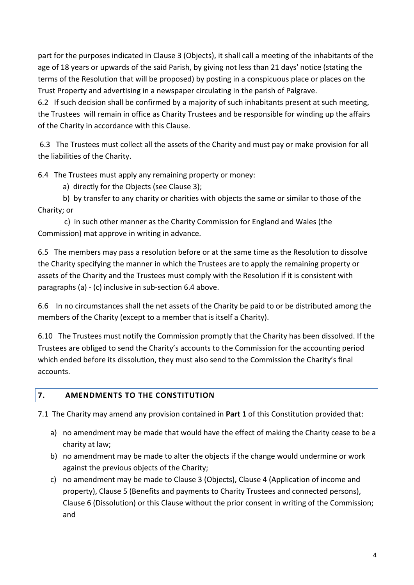part for the purposes indicated in Clause 3 (Objects), it shall call a meeting of the inhabitants of the age of 18 years or upwards of the said Parish, by giving not less than 21 days' notice (stating the terms of the Resolution that will be proposed) by posting in a conspicuous place or places on the Trust Property and advertising in a newspaper circulating in the parish of Palgrave.

6.2 If such decision shall be confirmed by a majority of such inhabitants present at such meeting, the Trustees will remain in office as Charity Trustees and be responsible for winding up the affairs of the Charity in accordance with this Clause.

6.3 The Trustees must collect all the assets of the Charity and must pay or make provision for all the liabilities of the Charity.

6.4 The Trustees must apply any remaining property or money:

a) directly for the Objects (see Clause 3);

b) by transfer to any charity or charities with objects the same or similar to those of the Charity; or

 c) in such other manner as the Charity Commission for England and Wales (the Commission) mat approve in writing in advance.

6.5 The members may pass a resolution before or at the same time as the Resolution to dissolve the Charity specifying the manner in which the Trustees are to apply the remaining property or assets of the Charity and the Trustees must comply with the Resolution if it is consistent with paragraphs (a) - (c) inclusive in sub-section 6.4 above.

6.6 In no circumstances shall the net assets of the Charity be paid to or be distributed among the members of the Charity (except to a member that is itself a Charity).

6.10 The Trustees must notify the Commission promptly that the Charity has been dissolved. If the Trustees are obliged to send the Charity's accounts to the Commission for the accounting period which ended before its dissolution, they must also send to the Commission the Charity's final accounts.

# **7. AMENDMENTS TO THE CONSTITUTION**

7.1 The Charity may amend any provision contained in **Part 1** of this Constitution provided that:

- a) no amendment may be made that would have the effect of making the Charity cease to be a charity at law;
- b) no amendment may be made to alter the objects if the change would undermine or work against the previous objects of the Charity;
- c) no amendment may be made to Clause 3 (Objects), Clause 4 (Application of income and property), Clause 5 (Benefits and payments to Charity Trustees and connected persons), Clause 6 (Dissolution) or this Clause without the prior consent in writing of the Commission; and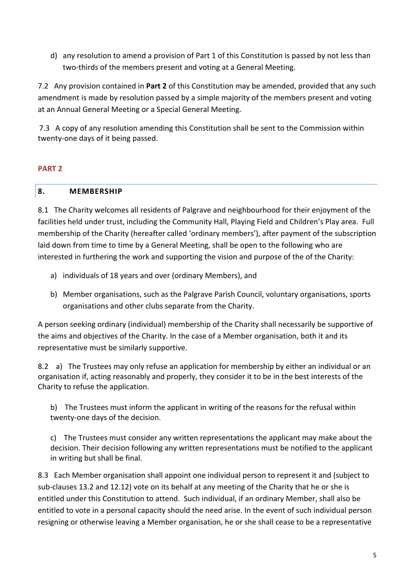d) any resolution to amend a provision of Part 1 of this Constitution is passed by not less than two-thirds of the members present and voting at a General Meeting.

7.2 Any provision contained in **Part 2** of this Constitution may be amended, provided that any such amendment is made by resolution passed by a simple majority of the members present and voting at an Annual General Meeting or a Special General Meeting.

 7.3 A copy of any resolution amending this Constitution shall be sent to the Commission within twenty-one days of it being passed.

# **PART 2**

### **8. MEMBERSHIP**

8.1 The Charity welcomes all residents of Palgrave and neighbourhood for their enjoyment of the facilities held under trust, including the Community Hall, Playing Field and Children's Play area. Full membership of the Charity (hereafter called 'ordinary members'), after payment of the subscription laid down from time to time by a General Meeting, shall be open to the following who are interested in furthering the work and supporting the vision and purpose of the of the Charity:

- a) individuals of 18 years and over (ordinary Members), and
- b) Member organisations, such as the Palgrave Parish Council, voluntary organisations, sports organisations and other clubs separate from the Charity.

A person seeking ordinary (individual) membership of the Charity shall necessarily be supportive of the aims and objectives of the Charity. In the case of a Member organisation, both it and its representative must be similarly supportive.

8.2 a) The Trustees may only refuse an application for membership by either an individual or an organisation if, acting reasonably and properly, they consider it to be in the best interests of the Charity to refuse the application.

b) The Trustees must inform the applicant in writing of the reasons for the refusal within twenty-one days of the decision.

c) The Trustees must consider any written representations the applicant may make about the decision. Their decision following any written representations must be notified to the applicant in writing but shall be final.

8.3 Each Member organisation shall appoint one individual person to represent it and (subject to sub-clauses 13.2 and 12.12) vote on its behalf at any meeting of the Charity that he or she is entitled under this Constitution to attend. Such individual, if an ordinary Member, shall also be entitled to vote in a personal capacity should the need arise. In the event of such individual person resigning or otherwise leaving a Member organisation, he or she shall cease to be a representative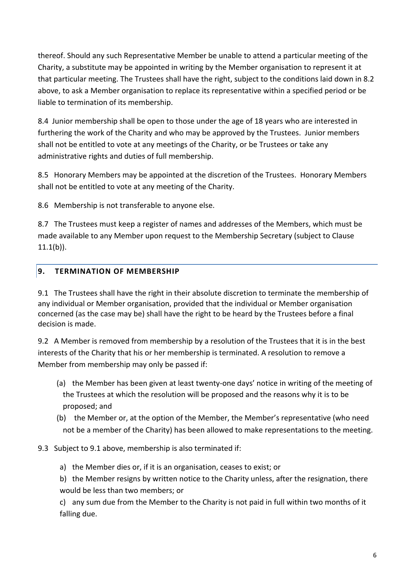thereof. Should any such Representative Member be unable to attend a particular meeting of the Charity, a substitute may be appointed in writing by the Member organisation to represent it at that particular meeting. The Trustees shall have the right, subject to the conditions laid down in 8.2 above, to ask a Member organisation to replace its representative within a specified period or be liable to termination of its membership.

8.4 Junior membership shall be open to those under the age of 18 years who are interested in furthering the work of the Charity and who may be approved by the Trustees. Junior members shall not be entitled to vote at any meetings of the Charity, or be Trustees or take any administrative rights and duties of full membership.

8.5 Honorary Members may be appointed at the discretion of the Trustees. Honorary Members shall not be entitled to vote at any meeting of the Charity.

8.6 Membership is not transferable to anyone else.

8.7 The Trustees must keep a register of names and addresses of the Members, which must be made available to any Member upon request to the Membership Secretary (subject to Clause  $11.1(b)$ ).

# **9. TERMINATION OF MEMBERSHIP**

9.1 The Trustees shall have the right in their absolute discretion to terminate the membership of any individual or Member organisation, provided that the individual or Member organisation concerned (as the case may be) shall have the right to be heard by the Trustees before a final decision is made.

9.2 A Member is removed from membership by a resolution of the Trustees that it is in the best interests of the Charity that his or her membership is terminated. A resolution to remove a Member from membership may only be passed if:

- (a) the Member has been given at least twenty-one days' notice in writing of the meeting of the Trustees at which the resolution will be proposed and the reasons why it is to be proposed; and
- (b) the Member or, at the option of the Member, the Member's representative (who need not be a member of the Charity) has been allowed to make representations to the meeting.
- 9.3 Subject to 9.1 above, membership is also terminated if:
	- a) the Member dies or, if it is an organisation, ceases to exist; or
	- b) the Member resigns by written notice to the Charity unless, after the resignation, there would be less than two members; or

c) any sum due from the Member to the Charity is not paid in full within two months of it falling due.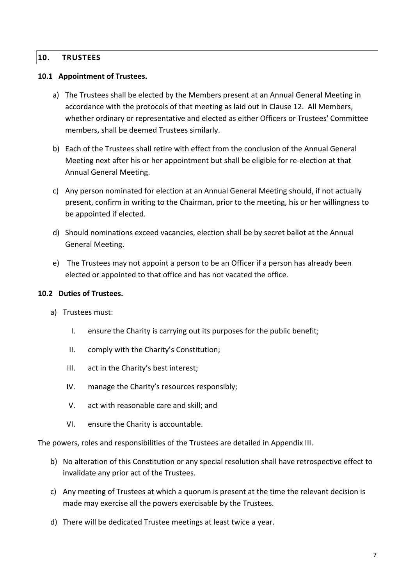### **10. TRUSTEES**

#### **10.1 Appointment of Trustees.**

- a) The Trustees shall be elected by the Members present at an Annual General Meeting in accordance with the protocols of that meeting as laid out in Clause 12. All Members, whether ordinary or representative and elected as either Officers or Trustees' Committee members, shall be deemed Trustees similarly.
- b) Each of the Trustees shall retire with effect from the conclusion of the Annual General Meeting next after his or her appointment but shall be eligible for re-election at that Annual General Meeting.
- c) Any person nominated for election at an Annual General Meeting should, if not actually present, confirm in writing to the Chairman, prior to the meeting, his or her willingness to be appointed if elected.
- d) Should nominations exceed vacancies, election shall be by secret ballot at the Annual General Meeting.
- e) The Trustees may not appoint a person to be an Officer if a person has already been elected or appointed to that office and has not vacated the office.

#### **10.2 Duties of Trustees.**

- a) Trustees must:
	- I. ensure the Charity is carrying out its purposes for the public benefit;
	- II. comply with the Charity's Constitution;
	- III. act in the Charity's best interest;
	- IV. manage the Charity's resources responsibly;
	- V. act with reasonable care and skill; and
	- VI. ensure the Charity is accountable.

The powers, roles and responsibilities of the Trustees are detailed in Appendix III.

- b) No alteration of this Constitution or any special resolution shall have retrospective effect to invalidate any prior act of the Trustees.
- c) Any meeting of Trustees at which a quorum is present at the time the relevant decision is made may exercise all the powers exercisable by the Trustees.
- d) There will be dedicated Trustee meetings at least twice a year.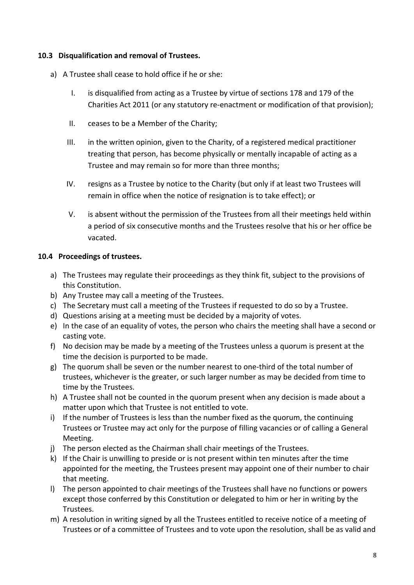### **10.3 Disqualification and removal of Trustees.**

- a) A Trustee shall cease to hold office if he or she:
	- I. is disqualified from acting as a Trustee by virtue of sections 178 and 179 of the Charities Act 2011 (or any statutory re-enactment or modification of that provision);
	- II. ceases to be a Member of the Charity;
	- III. in the written opinion, given to the Charity, of a registered medical practitioner treating that person, has become physically or mentally incapable of acting as a Trustee and may remain so for more than three months;
	- IV. resigns as a Trustee by notice to the Charity (but only if at least two Trustees will remain in office when the notice of resignation is to take effect); or
	- V. is absent without the permission of the Trustees from all their meetings held within a period of six consecutive months and the Trustees resolve that his or her office be vacated.

# **10.4 Proceedings of trustees.**

- a) The Trustees may regulate their proceedings as they think fit, subject to the provisions of this Constitution.
- b) Any Trustee may call a meeting of the Trustees.
- c) The Secretary must call a meeting of the Trustees if requested to do so by a Trustee.
- d) Questions arising at a meeting must be decided by a majority of votes.
- e) In the case of an equality of votes, the person who chairs the meeting shall have a second or casting vote.
- f) No decision may be made by a meeting of the Trustees unless a quorum is present at the time the decision is purported to be made.
- g) The quorum shall be seven or the number nearest to one-third of the total number of trustees, whichever is the greater, or such larger number as may be decided from time to time by the Trustees.
- h) A Trustee shall not be counted in the quorum present when any decision is made about a matter upon which that Trustee is not entitled to vote.
- i) If the number of Trustees is less than the number fixed as the quorum, the continuing Trustees or Trustee may act only for the purpose of filling vacancies or of calling a General Meeting.
- j) The person elected as the Chairman shall chair meetings of the Trustees.
- k) If the Chair is unwilling to preside or is not present within ten minutes after the time appointed for the meeting, the Trustees present may appoint one of their number to chair that meeting.
- l) The person appointed to chair meetings of the Trustees shall have no functions or powers except those conferred by this Constitution or delegated to him or her in writing by the Trustees.
- m) A resolution in writing signed by all the Trustees entitled to receive notice of a meeting of Trustees or of a committee of Trustees and to vote upon the resolution, shall be as valid and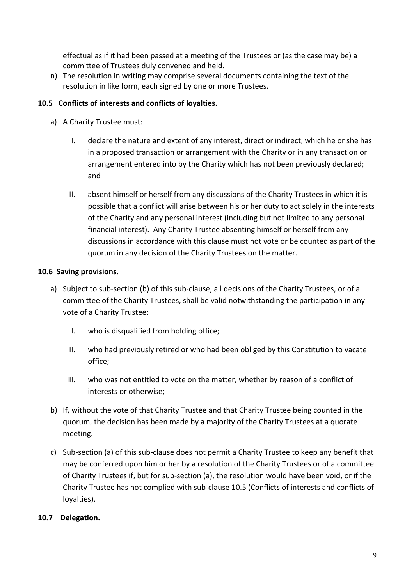effectual as if it had been passed at a meeting of the Trustees or (as the case may be) a committee of Trustees duly convened and held.

n) The resolution in writing may comprise several documents containing the text of the resolution in like form, each signed by one or more Trustees.

### **10.5 Conflicts of interests and conflicts of loyalties.**

- a) A Charity Trustee must:
	- I. declare the nature and extent of any interest, direct or indirect, which he or she has in a proposed transaction or arrangement with the Charity or in any transaction or arrangement entered into by the Charity which has not been previously declared; and
	- II. absent himself or herself from any discussions of the Charity Trustees in which it is possible that a conflict will arise between his or her duty to act solely in the interests of the Charity and any personal interest (including but not limited to any personal financial interest). Any Charity Trustee absenting himself or herself from any discussions in accordance with this clause must not vote or be counted as part of the quorum in any decision of the Charity Trustees on the matter.

# **10.6 Saving provisions.**

- a) Subject to sub-section (b) of this sub-clause, all decisions of the Charity Trustees, or of a committee of the Charity Trustees, shall be valid notwithstanding the participation in any vote of a Charity Trustee:
	- I. who is disqualified from holding office;
	- II. who had previously retired or who had been obliged by this Constitution to vacate office;
	- III. who was not entitled to vote on the matter, whether by reason of a conflict of interests or otherwise;
- b) If, without the vote of that Charity Trustee and that Charity Trustee being counted in the quorum, the decision has been made by a majority of the Charity Trustees at a quorate meeting.
- c) Sub-section (a) of this sub-clause does not permit a Charity Trustee to keep any benefit that may be conferred upon him or her by a resolution of the Charity Trustees or of a committee of Charity Trustees if, but for sub-section (a), the resolution would have been void, or if the Charity Trustee has not complied with sub-clause 10.5 (Conflicts of interests and conflicts of loyalties).

### **10.7 Delegation.**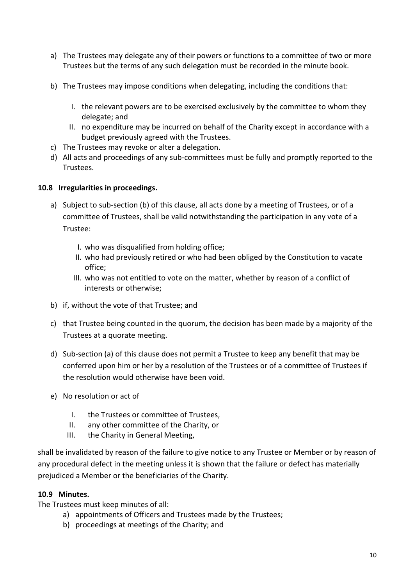- a) The Trustees may delegate any of their powers or functions to a committee of two or more Trustees but the terms of any such delegation must be recorded in the minute book.
- b) The Trustees may impose conditions when delegating, including the conditions that:
	- I. the relevant powers are to be exercised exclusively by the committee to whom they delegate; and
	- II. no expenditure may be incurred on behalf of the Charity except in accordance with a budget previously agreed with the Trustees.
- c) The Trustees may revoke or alter a delegation.
- d) All acts and proceedings of any sub-committees must be fully and promptly reported to the Trustees.

# **10.8 Irregularities in proceedings.**

- a) Subject to sub-section (b) of this clause, all acts done by a meeting of Trustees, or of a committee of Trustees, shall be valid notwithstanding the participation in any vote of a Trustee:
	- I. who was disqualified from holding office;
	- II. who had previously retired or who had been obliged by the Constitution to vacate office;
	- III. who was not entitled to vote on the matter, whether by reason of a conflict of interests or otherwise;
- b) if, without the vote of that Trustee; and
- c) that Trustee being counted in the quorum, the decision has been made by a majority of the Trustees at a quorate meeting.
- d) Sub-section (a) of this clause does not permit a Trustee to keep any benefit that may be conferred upon him or her by a resolution of the Trustees or of a committee of Trustees if the resolution would otherwise have been void.
- e) No resolution or act of
	- I. the Trustees or committee of Trustees,
	- II. any other committee of the Charity, or
	- III. the Charity in General Meeting,

shall be invalidated by reason of the failure to give notice to any Trustee or Member or by reason of any procedural defect in the meeting unless it is shown that the failure or defect has materially prejudiced a Member or the beneficiaries of the Charity.

### **10.9 Minutes.**

The Trustees must keep minutes of all:

- a) appointments of Officers and Trustees made by the Trustees;
- b) proceedings at meetings of the Charity; and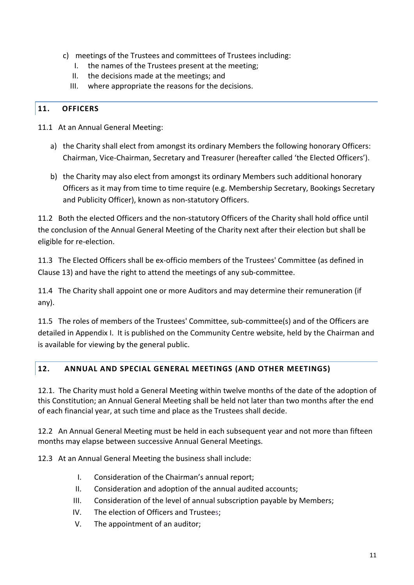- c) meetings of the Trustees and committees of Trustees including:
	- I. the names of the Trustees present at the meeting;
	- II. the decisions made at the meetings; and
	- III. where appropriate the reasons for the decisions.

# **11. OFFICERS**

- 11.1 At an Annual General Meeting:
	- a) the Charity shall elect from amongst its ordinary Members the following honorary Officers: Chairman, Vice-Chairman, Secretary and Treasurer (hereafter called 'the Elected Officers').
	- b) the Charity may also elect from amongst its ordinary Members such additional honorary Officers as it may from time to time require (e.g. Membership Secretary, Bookings Secretary and Publicity Officer), known as non-statutory Officers.

11.2 Both the elected Officers and the non-statutory Officers of the Charity shall hold office until the conclusion of the Annual General Meeting of the Charity next after their election but shall be eligible for re-election.

11.3 The Elected Officers shall be ex-officio members of the Trustees' Committee (as defined in Clause 13) and have the right to attend the meetings of any sub-committee.

11.4 The Charity shall appoint one or more Auditors and may determine their remuneration (if any).

11.5 The roles of members of the Trustees' Committee, sub-committee(s) and of the Officers are detailed in Appendix I. It is published on the Community Centre website, held by the Chairman and is available for viewing by the general public.

# **12. ANNUAL AND SPECIAL GENERAL MEETINGS (AND OTHER MEETINGS)**

12.1. The Charity must hold a General Meeting within twelve months of the date of the adoption of this Constitution; an Annual General Meeting shall be held not later than two months after the end of each financial year, at such time and place as the Trustees shall decide.

12.2 An Annual General Meeting must be held in each subsequent year and not more than fifteen months may elapse between successive Annual General Meetings.

12.3 At an Annual General Meeting the business shall include:

- I. Consideration of the Chairman's annual report;
- II. Consideration and adoption of the annual audited accounts;
- III. Consideration of the level of annual subscription payable by Members;
- IV. The election of Officers and Trustees;
- V. The appointment of an auditor;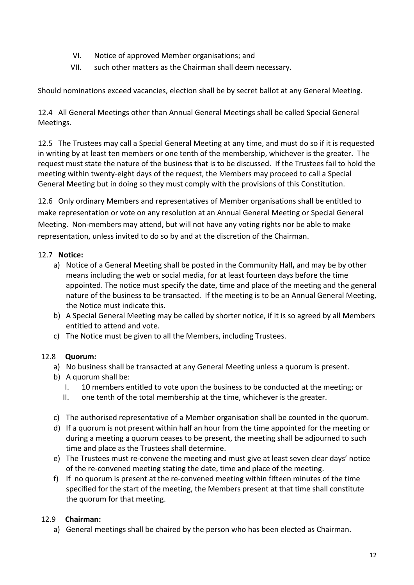- VI. Notice of approved Member organisations; and
- VII. such other matters as the Chairman shall deem necessary.

Should nominations exceed vacancies, election shall be by secret ballot at any General Meeting.

12.4 All General Meetings other than Annual General Meetings shall be called Special General Meetings.

12.5 The Trustees may call a Special General Meeting at any time, and must do so if it is requested in writing by at least ten members or one tenth of the membership, whichever is the greater. The request must state the nature of the business that is to be discussed. If the Trustees fail to hold the meeting within twenty-eight days of the request, the Members may proceed to call a Special General Meeting but in doing so they must comply with the provisions of this Constitution.

12.6 Only ordinary Members and representatives of Member organisations shall be entitled to make representation or vote on any resolution at an Annual General Meeting or Special General Meeting. Non-members may attend, but will not have any voting rights nor be able to make representation, unless invited to do so by and at the discretion of the Chairman.

# 12.7 **Notice:**

- a) Notice of a General Meeting shall be posted in the Community Hall**,** and may be by other means including the web or social media, for at least fourteen days before the time appointed. The notice must specify the date, time and place of the meeting and the general nature of the business to be transacted. If the meeting is to be an Annual General Meeting, the Notice must indicate this.
- b) A Special General Meeting may be called by shorter notice, if it is so agreed by all Members entitled to attend and vote.
- c) The Notice must be given to all the Members, including Trustees.

# 12.8 **Quorum:**

- a) No business shall be transacted at any General Meeting unless a quorum is present.
- b) A quorum shall be:
	- I. 10 members entitled to vote upon the business to be conducted at the meeting; or
	- II. one tenth of the total membership at the time, whichever is the greater.
- c) The authorised representative of a Member organisation shall be counted in the quorum.
- d) If a quorum is not present within half an hour from the time appointed for the meeting or during a meeting a quorum ceases to be present, the meeting shall be adjourned to such time and place as the Trustees shall determine.
- e) The Trustees must re-convene the meeting and must give at least seven clear days' notice of the re-convened meeting stating the date, time and place of the meeting.
- f) If no quorum is present at the re-convened meeting within fifteen minutes of the time specified for the start of the meeting, the Members present at that time shall constitute the quorum for that meeting.

# 12.9 **Chairman:**

a) General meetings shall be chaired by the person who has been elected as Chairman.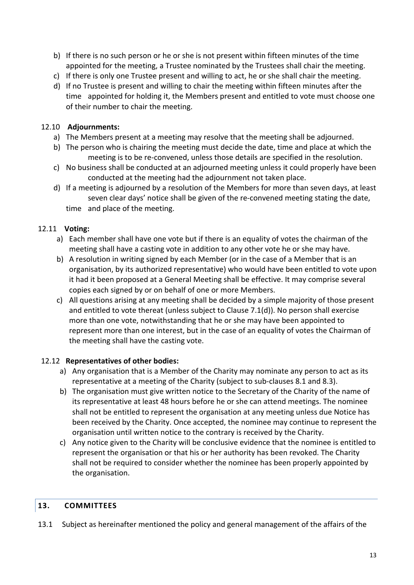- b) If there is no such person or he or she is not present within fifteen minutes of the time appointed for the meeting, a Trustee nominated by the Trustees shall chair the meeting.
- c) If there is only one Trustee present and willing to act, he or she shall chair the meeting.
- d) If no Trustee is present and willing to chair the meeting within fifteen minutes after the time appointed for holding it, the Members present and entitled to vote must choose one of their number to chair the meeting.

# 12.10 **Adjournments:**

- a) The Members present at a meeting may resolve that the meeting shall be adjourned.
- b) The person who is chairing the meeting must decide the date, time and place at which the meeting is to be re-convened, unless those details are specified in the resolution.
- c) No business shall be conducted at an adjourned meeting unless it could properly have been conducted at the meeting had the adjournment not taken place.
- d) If a meeting is adjourned by a resolution of the Members for more than seven days, at least seven clear days' notice shall be given of the re-convened meeting stating the date, time and place of the meeting.

# 12.11 **Voting:**

- a) Each member shall have one vote but if there is an equality of votes the chairman of the meeting shall have a casting vote in addition to any other vote he or she may have.
- b) A resolution in writing signed by each Member (or in the case of a Member that is an organisation, by its authorized representative) who would have been entitled to vote upon it had it been proposed at a General Meeting shall be effective. It may comprise several copies each signed by or on behalf of one or more Members.
- c) All questions arising at any meeting shall be decided by a simple majority of those present and entitled to vote thereat (unless subject to Clause 7.1(d)). No person shall exercise more than one vote, notwithstanding that he or she may have been appointed to represent more than one interest, but in the case of an equality of votes the Chairman of the meeting shall have the casting vote.

# 12.12 **Representatives of other bodies:**

- a) Any organisation that is a Member of the Charity may nominate any person to act as its representative at a meeting of the Charity (subject to sub-clauses 8.1 and 8.3).
- b) The organisation must give written notice to the Secretary of the Charity of the name of its representative at least 48 hours before he or she can attend meetings. The nominee shall not be entitled to represent the organisation at any meeting unless due Notice has been received by the Charity. Once accepted, the nominee may continue to represent the organisation until written notice to the contrary is received by the Charity.
- c) Any notice given to the Charity will be conclusive evidence that the nominee is entitled to represent the organisation or that his or her authority has been revoked. The Charity shall not be required to consider whether the nominee has been properly appointed by the organisation.

# **13. COMMITTEES**

13.1 Subject as hereinafter mentioned the policy and general management of the affairs of the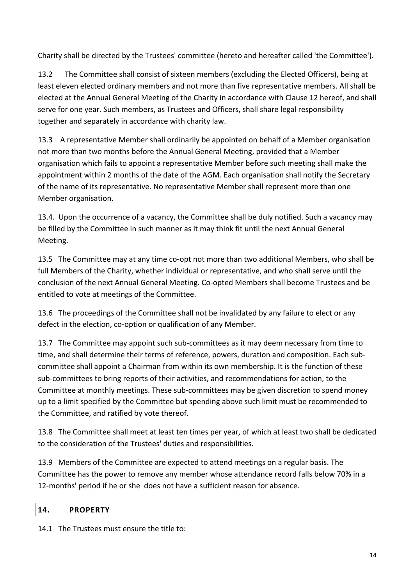Charity shall be directed by the Trustees' committee (hereto and hereafter called 'the Committee').

13.2 The Committee shall consist of sixteen members (excluding the Elected Officers), being at least eleven elected ordinary members and not more than five representative members. All shall be elected at the Annual General Meeting of the Charity in accordance with Clause 12 hereof, and shall serve for one year. Such members, as Trustees and Officers, shall share legal responsibility together and separately in accordance with charity law.

13.3 A representative Member shall ordinarily be appointed on behalf of a Member organisation not more than two months before the Annual General Meeting, provided that a Member organisation which fails to appoint a representative Member before such meeting shall make the appointment within 2 months of the date of the AGM. Each organisation shall notify the Secretary of the name of its representative. No representative Member shall represent more than one Member organisation.

13.4. Upon the occurrence of a vacancy, the Committee shall be duly notified. Such a vacancy may be filled by the Committee in such manner as it may think fit until the next Annual General Meeting.

13.5 The Committee may at any time co-opt not more than two additional Members, who shall be full Members of the Charity, whether individual or representative, and who shall serve until the conclusion of the next Annual General Meeting. Co-opted Members shall become Trustees and be entitled to vote at meetings of the Committee.

13.6 The proceedings of the Committee shall not be invalidated by any failure to elect or any defect in the election, co-option or qualification of any Member.

13.7 The Committee may appoint such sub-committees as it may deem necessary from time to time, and shall determine their terms of reference, powers, duration and composition. Each subcommittee shall appoint a Chairman from within its own membership. It is the function of these sub-committees to bring reports of their activities, and recommendations for action, to the Committee at monthly meetings. These sub-committees may be given discretion to spend money up to a limit specified by the Committee but spending above such limit must be recommended to the Committee, and ratified by vote thereof.

13.8 The Committee shall meet at least ten times per year, of which at least two shall be dedicated to the consideration of the Trustees' duties and responsibilities.

13.9 Members of the Committee are expected to attend meetings on a regular basis. The Committee has the power to remove any member whose attendance record falls below 70% in a 12-months' period if he or she does not have a sufficient reason for absence.

# **14. PROPERTY**

14.1 The Trustees must ensure the title to: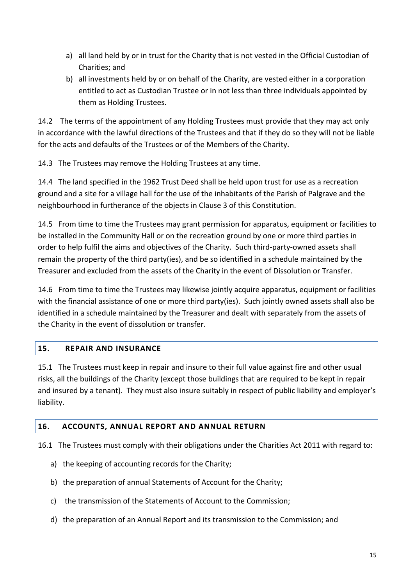- a) all land held by or in trust for the Charity that is not vested in the Official Custodian of Charities; and
- b) all investments held by or on behalf of the Charity, are vested either in a corporation entitled to act as Custodian Trustee or in not less than three individuals appointed by them as Holding Trustees.

14.2 The terms of the appointment of any Holding Trustees must provide that they may act only in accordance with the lawful directions of the Trustees and that if they do so they will not be liable for the acts and defaults of the Trustees or of the Members of the Charity.

14.3 The Trustees may remove the Holding Trustees at any time.

14.4 The land specified in the 1962 Trust Deed shall be held upon trust for use as a recreation ground and a site for a village hall for the use of the inhabitants of the Parish of Palgrave and the neighbourhood in furtherance of the objects in Clause 3 of this Constitution.

14.5 From time to time the Trustees may grant permission for apparatus, equipment or facilities to be installed in the Community Hall or on the recreation ground by one or more third parties in order to help fulfil the aims and objectives of the Charity. Such third-party-owned assets shall remain the property of the third party(ies), and be so identified in a schedule maintained by the Treasurer and excluded from the assets of the Charity in the event of Dissolution or Transfer.

14.6 From time to time the Trustees may likewise jointly acquire apparatus, equipment or facilities with the financial assistance of one or more third party(ies). Such jointly owned assets shall also be identified in a schedule maintained by the Treasurer and dealt with separately from the assets of the Charity in the event of dissolution or transfer.

# **15. REPAIR AND INSURANCE**

15.1 The Trustees must keep in repair and insure to their full value against fire and other usual risks, all the buildings of the Charity (except those buildings that are required to be kept in repair and insured by a tenant). They must also insure suitably in respect of public liability and employer's liability.

### **16. ACCOUNTS, ANNUAL REPORT AND ANNUAL RETURN**

16.1 The Trustees must comply with their obligations under the Charities Act 2011 with regard to:

- a) the keeping of accounting records for the Charity;
- b) the preparation of annual Statements of Account for the Charity;
- c) the transmission of the Statements of Account to the Commission;
- d) the preparation of an Annual Report and its transmission to the Commission; and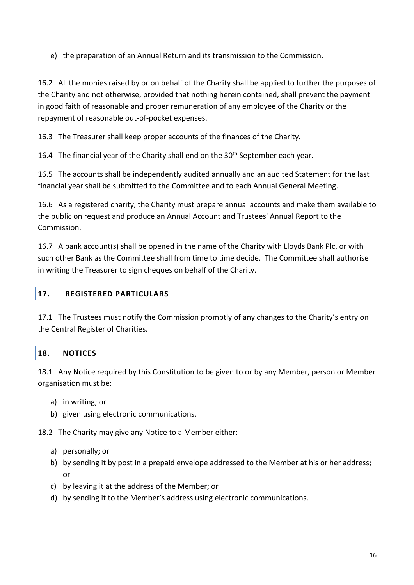e) the preparation of an Annual Return and its transmission to the Commission.

16.2 All the monies raised by or on behalf of the Charity shall be applied to further the purposes of the Charity and not otherwise, provided that nothing herein contained, shall prevent the payment in good faith of reasonable and proper remuneration of any employee of the Charity or the repayment of reasonable out-of-pocket expenses.

16.3 The Treasurer shall keep proper accounts of the finances of the Charity.

16.4 The financial year of the Charity shall end on the 30<sup>th</sup> September each year.

16.5 The accounts shall be independently audited annually and an audited Statement for the last financial year shall be submitted to the Committee and to each Annual General Meeting.

16.6 As a registered charity, the Charity must prepare annual accounts and make them available to the public on request and produce an Annual Account and Trustees' Annual Report to the Commission.

16.7 A bank account(s) shall be opened in the name of the Charity with Lloyds Bank Plc, or with such other Bank as the Committee shall from time to time decide. The Committee shall authorise in writing the Treasurer to sign cheques on behalf of the Charity.

# **17. REGISTERED PARTICULARS**

17.1 The Trustees must notify the Commission promptly of any changes to the Charity's entry on the Central Register of Charities.

# **18. NOTICES**

18.1 Any Notice required by this Constitution to be given to or by any Member, person or Member organisation must be:

- a) in writing; or
- b) given using electronic communications.

18.2 The Charity may give any Notice to a Member either:

- a) personally; or
- b) by sending it by post in a prepaid envelope addressed to the Member at his or her address; or
- c) by leaving it at the address of the Member; or
- d) by sending it to the Member's address using electronic communications.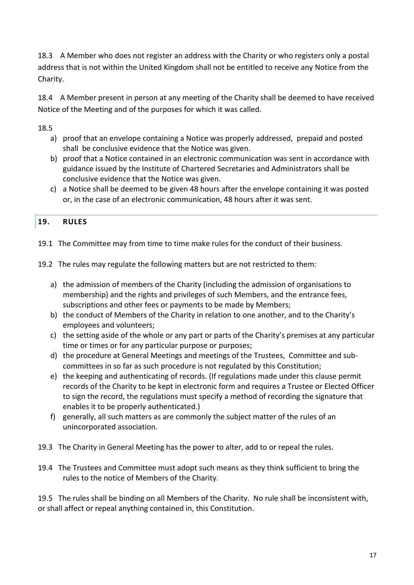18.3 A Member who does not register an address with the Charity or who registers only a postal address that is not within the United Kingdom shall not be entitled to receive any Notice from the Charity.

18.4 A Member present in person at any meeting of the Charity shall be deemed to have received Notice of the Meeting and of the purposes for which it was called.

18.5

- a) proof that an envelope containing a Notice was properly addressed, prepaid and posted shall be conclusive evidence that the Notice was given.
- b) proof that a Notice contained in an electronic communication was sent in accordance with guidance issued by the Institute of Chartered Secretaries and Administrators shall be conclusive evidence that the Notice was given.
- c) a Notice shall be deemed to be given 48 hours after the envelope containing it was posted or, in the case of an electronic communication, 48 hours after it was sent.

# **19. RULES**

19.1 The Committee may from time to time make rules for the conduct of their business.

19.2 The rules may regulate the following matters but are not restricted to them:

- a) the admission of members of the Charity (including the admission of organisations to membership) and the rights and privileges of such Members, and the entrance fees, subscriptions and other fees or payments to be made by Members;
- b) the conduct of Members of the Charity in relation to one another, and to the Charity's employees and volunteers;
- c) the setting aside of the whole or any part or parts of the Charity's premises at any particular time or times or for any particular purpose or purposes;
- d) the procedure at General Meetings and meetings of the Trustees, Committee and subcommittees in so far as such procedure is not regulated by this Constitution;
- e) the keeping and authenticating of records. (If regulations made under this clause permit records of the Charity to be kept in electronic form and requires a Trustee or Elected Officer to sign the record, the regulations must specify a method of recording the signature that enables it to be properly authenticated.)
- f) generally, all such matters as are commonly the subject matter of the rules of an unincorporated association.
- 19.3 The Charity in General Meeting has the power to alter, add to or repeal the rules.
- 19.4 The Trustees and Committee must adopt such means as they think sufficient to bring the rules to the notice of Members of the Charity.

19.5 The rules shall be binding on all Members of the Charity. No rule shall be inconsistent with, or shall affect or repeal anything contained in, this Constitution.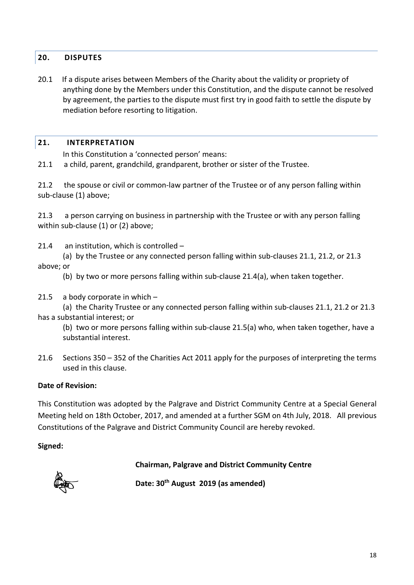# **20. DISPUTES**

20.1 If a dispute arises between Members of the Charity about the validity or propriety of anything done by the Members under this Constitution, and the dispute cannot be resolved by agreement, the parties to the dispute must first try in good faith to settle the dispute by mediation before resorting to litigation.

### **21. INTERPRETATION**

In this Constitution a 'connected person' means:

21.1 a child, parent, grandchild, grandparent, brother or sister of the Trustee.

21.2 the spouse or civil or common-law partner of the Trustee or of any person falling within sub-clause (1) above;

21.3 a person carrying on business in partnership with the Trustee or with any person falling within sub-clause (1) or (2) above;

21.4 an institution, which is controlled –

(a) by the Trustee or any connected person falling within sub-clauses 21.1, 21.2, or 21.3 above; or

(b) by two or more persons falling within sub-clause 21.4(a), when taken together.

21.5 a body corporate in which –

(a) the Charity Trustee or any connected person falling within sub-clauses 21.1, 21.2 or 21.3 has a substantial interest; or

(b) two or more persons falling within sub-clause 21.5(a) who, when taken together, have a substantial interest.

21.6 Sections 350 – 352 of the Charities Act 2011 apply for the purposes of interpreting the terms used in this clause.

### **Date of Revision:**

This Constitution was adopted by the Palgrave and District Community Centre at a Special General Meeting held on 18th October, 2017, and amended at a further SGM on 4th July, 2018. All previous Constitutions of the Palgrave and District Community Council are hereby revoked.

### **Signed:**

### **Chairman, Palgrave and District Community Centre**



**Date: 30th August 2019 (as amended)**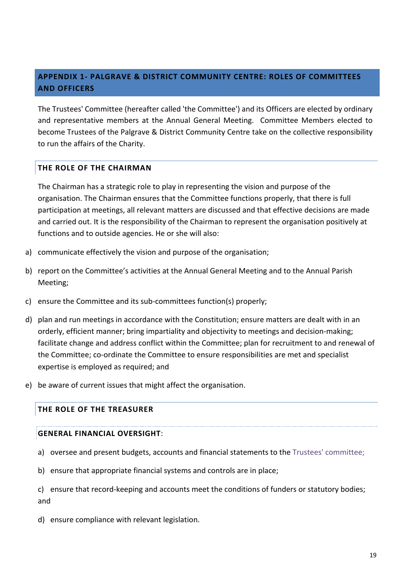# **APPENDIX 1- PALGRAVE & DISTRICT COMMUNITY CENTRE: ROLES OF COMMITTEES AND OFFICERS**

The Trustees' Committee (hereafter called 'the Committee') and its Officers are elected by ordinary and representative members at the Annual General Meeting. Committee Members elected to become Trustees of the Palgrave & District Community Centre take on the collective responsibility to run the affairs of the Charity.

#### **THE ROLE OF THE CHAIRMAN**

The Chairman has a strategic role to play in representing the vision and purpose of the organisation. The Chairman ensures that the Committee functions properly, that there is full participation at meetings, all relevant matters are discussed and that effective decisions are made and carried out. It is the responsibility of the Chairman to represent the organisation positively at functions and to outside agencies. He or she will also:

- a) communicate effectively the vision and purpose of the organisation;
- b) report on the Committee's activities at the Annual General Meeting and to the Annual Parish Meeting;
- c) ensure the Committee and its sub-committees function(s) properly;
- d) plan and run meetings in accordance with the Constitution; ensure matters are dealt with in an orderly, efficient manner; bring impartiality and objectivity to meetings and decision-making; facilitate change and address conflict within the Committee; plan for recruitment to and renewal of the Committee; co-ordinate the Committee to ensure responsibilities are met and specialist expertise is employed as required; and
- e) be aware of current issues that might affect the organisation.

#### **THE ROLE OF THE TREASURER**

#### **GENERAL FINANCIAL OVERSIGHT**:

- a) oversee and present budgets, accounts and financial statements to the Trustees' committee;
- b) ensure that appropriate financial systems and controls are in place;
- c) ensure that record-keeping and accounts meet the conditions of funders or statutory bodies; and
- d) ensure compliance with relevant legislation.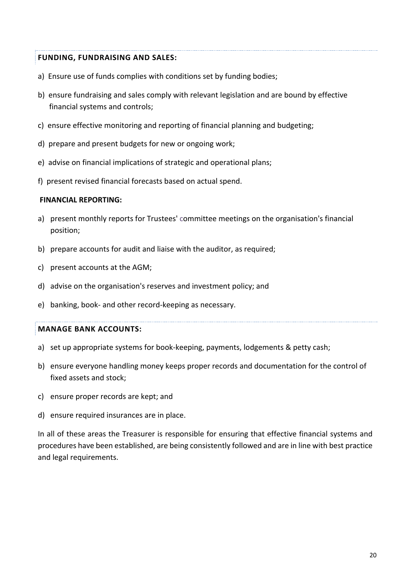#### **FUNDING, FUNDRAISING AND SALES:**

- a) Ensure use of funds complies with conditions set by funding bodies;
- b) ensure fundraising and sales comply with relevant legislation and are bound by effective financial systems and controls;
- c) ensure effective monitoring and reporting of financial planning and budgeting;
- d) prepare and present budgets for new or ongoing work;
- e) advise on financial implications of strategic and operational plans;
- f) present revised financial forecasts based on actual spend.

#### **FINANCIAL REPORTING:**

- a) present monthly reports for Trustees' committee meetings on the organisation's financial position;
- b) prepare accounts for audit and liaise with the auditor, as required;
- c) present accounts at the AGM;
- d) advise on the organisation's reserves and investment policy; and
- e) banking, book- and other record-keeping as necessary.

#### **MANAGE BANK ACCOUNTS:**

- a) set up appropriate systems for book-keeping, payments, lodgements & petty cash;
- b) ensure everyone handling money keeps proper records and documentation for the control of fixed assets and stock;
- c) ensure proper records are kept; and
- d) ensure required insurances are in place.

In all of these areas the Treasurer is responsible for ensuring that effective financial systems and procedures have been established, are being consistently followed and are in line with best practice and legal requirements.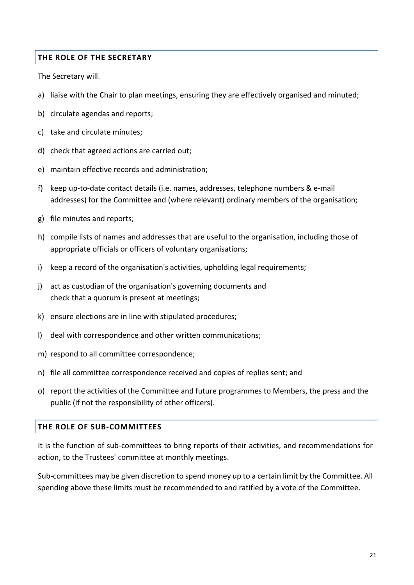# **THE ROLE OF THE SECRETARY**

The Secretary will:

- a) liaise with the Chair to plan meetings, ensuring they are effectively organised and minuted;
- b) circulate agendas and reports;
- c) take and circulate minutes;
- d) check that agreed actions are carried out;
- e) maintain effective records and administration;
- f) keep up-to-date contact details (i.e. names, addresses, telephone numbers & e-mail addresses) for the Committee and (where relevant) ordinary members of the organisation;
- g) file minutes and reports;
- h) compile lists of names and addresses that are useful to the organisation, including those of appropriate officials or officers of voluntary organisations;
- i) keep a record of the organisation's activities, upholding legal requirements;
- j) act as custodian of the organisation's governing documents and check that a quorum is present at meetings;
- k) ensure elections are in line with stipulated procedures;
- l) deal with correspondence and other written communications;
- m) respond to all committee correspondence;
- n) file all committee correspondence received and copies of replies sent; and
- o) report the activities of the Committee and future programmes to Members, the press and the public (if not the responsibility of other officers).

### **THE ROLE OF SUB-COMMITTEES**

It is the function of sub-committees to bring reports of their activities, and recommendations for action, to the Trustees' committee at monthly meetings.

Sub-committees may be given discretion to spend money up to a certain limit by the Committee. All spending above these limits must be recommended to and ratified by a vote of the Committee.